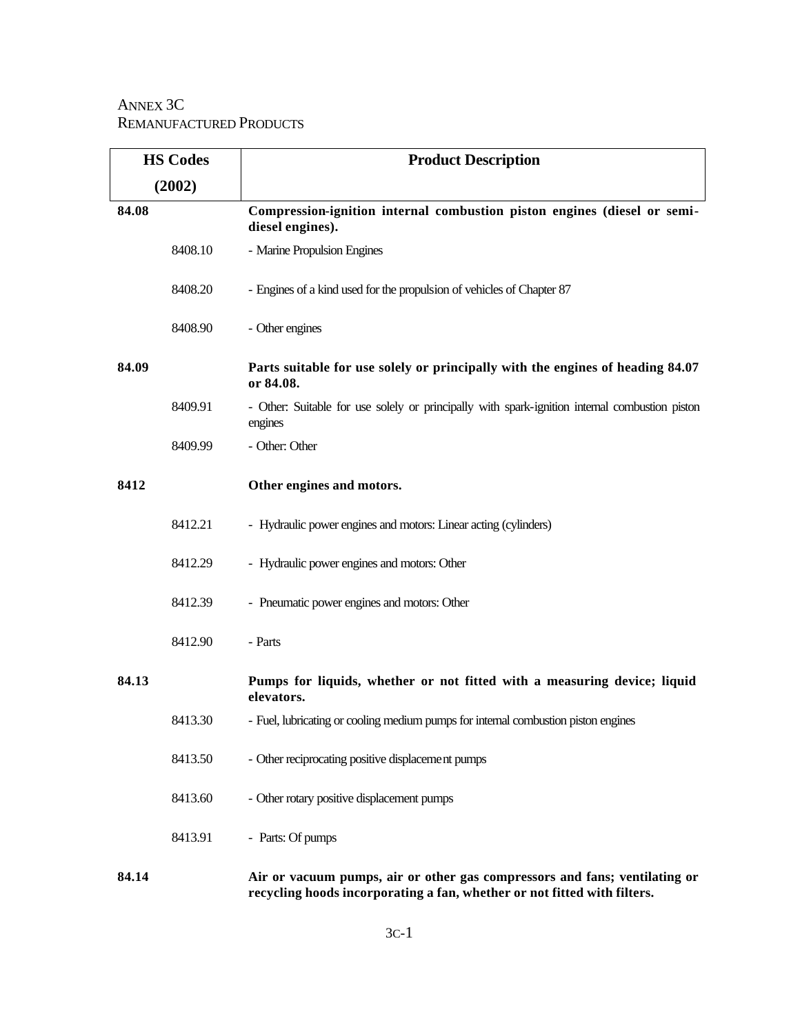## ANNEX 3C REMANUFACTURED PRODUCTS

| <b>HS Codes</b> |         | <b>Product Description</b>                                                                                                                             |
|-----------------|---------|--------------------------------------------------------------------------------------------------------------------------------------------------------|
| (2002)          |         |                                                                                                                                                        |
| 84.08           |         | Compression-ignition internal combustion piston engines (diesel or semi-<br>diesel engines).                                                           |
|                 | 8408.10 | - Marine Propulsion Engines                                                                                                                            |
|                 | 8408.20 | - Engines of a kind used for the propulsion of vehicles of Chapter 87                                                                                  |
|                 | 8408.90 | - Other engines                                                                                                                                        |
| 84.09           |         | Parts suitable for use solely or principally with the engines of heading 84.07<br>or 84.08.                                                            |
|                 | 8409.91 | - Other: Suitable for use solely or principally with spark-ignition internal combustion piston<br>engines                                              |
|                 | 8409.99 | - Other: Other                                                                                                                                         |
| 8412            |         | Other engines and motors.                                                                                                                              |
|                 | 8412.21 | - Hydraulic power engines and motors: Linear acting (cylinders)                                                                                        |
|                 | 8412.29 | - Hydraulic power engines and motors: Other                                                                                                            |
|                 | 8412.39 | - Pneumatic power engines and motors: Other                                                                                                            |
|                 | 8412.90 | - Parts                                                                                                                                                |
| 84.13           |         | Pumps for liquids, whether or not fitted with a measuring device; liquid<br>elevators.                                                                 |
|                 | 8413.30 | - Fuel, lubricating or cooling medium pumps for internal combustion piston engines                                                                     |
|                 | 8413.50 | - Other reciprocating positive displacement pumps                                                                                                      |
|                 | 8413.60 | - Other rotary positive displacement pumps                                                                                                             |
|                 | 8413.91 | - Parts: Of pumps                                                                                                                                      |
| 84.14           |         | Air or vacuum pumps, air or other gas compressors and fans; ventilating or<br>recycling hoods incorporating a fan, whether or not fitted with filters. |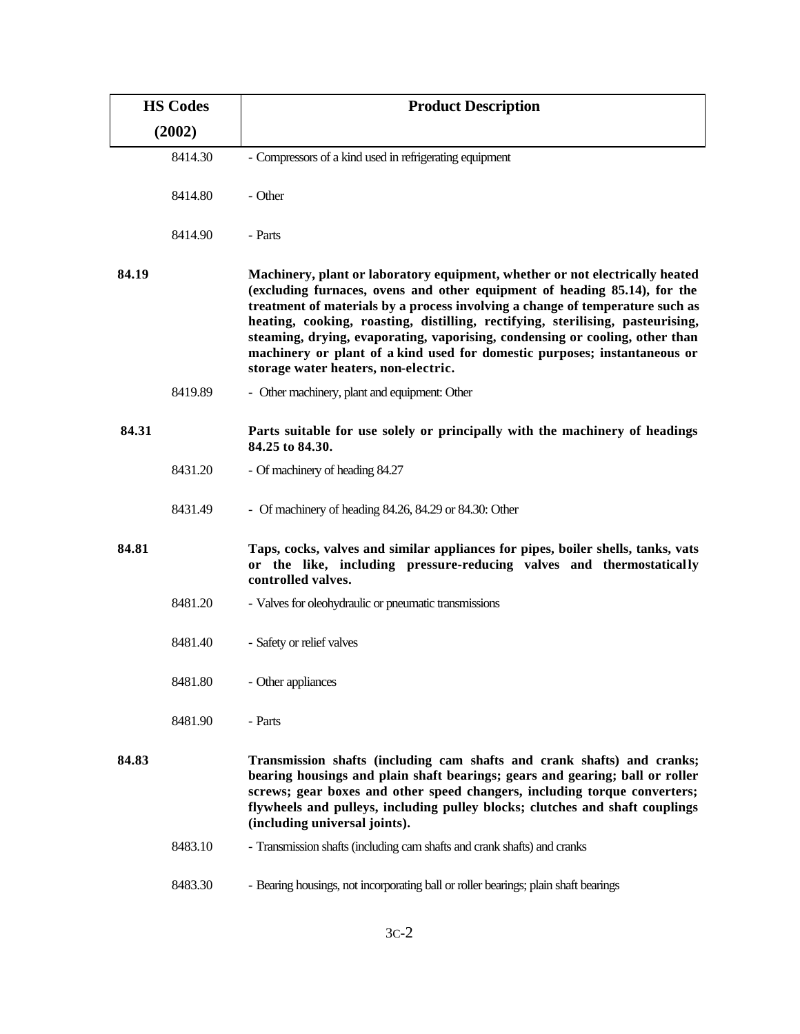| <b>HS Codes</b> |         | <b>Product Description</b>                                                                                                                                                                                                                                                                                                                                                                                                                                                                                                        |
|-----------------|---------|-----------------------------------------------------------------------------------------------------------------------------------------------------------------------------------------------------------------------------------------------------------------------------------------------------------------------------------------------------------------------------------------------------------------------------------------------------------------------------------------------------------------------------------|
| (2002)          |         |                                                                                                                                                                                                                                                                                                                                                                                                                                                                                                                                   |
|                 | 8414.30 | - Compressors of a kind used in refrigerating equipment                                                                                                                                                                                                                                                                                                                                                                                                                                                                           |
|                 | 8414.80 | - Other                                                                                                                                                                                                                                                                                                                                                                                                                                                                                                                           |
|                 | 8414.90 | - Parts                                                                                                                                                                                                                                                                                                                                                                                                                                                                                                                           |
| 84.19           |         | Machinery, plant or laboratory equipment, whether or not electrically heated<br>(excluding furnaces, ovens and other equipment of heading 85.14), for the<br>treatment of materials by a process involving a change of temperature such as<br>heating, cooking, roasting, distilling, rectifying, sterilising, pasteurising,<br>steaming, drying, evaporating, vaporising, condensing or cooling, other than<br>machinery or plant of a kind used for domestic purposes; instantaneous or<br>storage water heaters, non-electric. |
|                 | 8419.89 | - Other machinery, plant and equipment: Other                                                                                                                                                                                                                                                                                                                                                                                                                                                                                     |
| 84.31           |         | Parts suitable for use solely or principally with the machinery of headings<br>84.25 to 84.30.                                                                                                                                                                                                                                                                                                                                                                                                                                    |
|                 | 8431.20 | - Of machinery of heading 84.27                                                                                                                                                                                                                                                                                                                                                                                                                                                                                                   |
|                 | 8431.49 | - Of machinery of heading 84.26, 84.29 or 84.30: Other                                                                                                                                                                                                                                                                                                                                                                                                                                                                            |
| 84.81           |         | Taps, cocks, valves and similar appliances for pipes, boiler shells, tanks, vats<br>the like, including pressure-reducing valves and thermostatically<br>or<br>controlled valves.                                                                                                                                                                                                                                                                                                                                                 |
|                 | 8481.20 | - Valves for oleohydraulic or pneumatic transmissions                                                                                                                                                                                                                                                                                                                                                                                                                                                                             |
|                 | 8481.40 | - Safety or relief valves                                                                                                                                                                                                                                                                                                                                                                                                                                                                                                         |
|                 | 8481.80 | - Other appliances                                                                                                                                                                                                                                                                                                                                                                                                                                                                                                                |
|                 | 8481.90 | - Parts                                                                                                                                                                                                                                                                                                                                                                                                                                                                                                                           |
| 84.83           |         | Transmission shafts (including cam shafts and crank shafts) and cranks;<br>bearing housings and plain shaft bearings; gears and gearing; ball or roller<br>screws; gear boxes and other speed changers, including torque converters;<br>flywheels and pulleys, including pulley blocks; clutches and shaft couplings<br>(including universal joints).                                                                                                                                                                             |
|                 | 8483.10 | - Transmission shafts (including cam shafts and crank shafts) and cranks                                                                                                                                                                                                                                                                                                                                                                                                                                                          |
|                 | 8483.30 | - Bearing housings, not incorporating ball or roller bearings; plain shaft bearings                                                                                                                                                                                                                                                                                                                                                                                                                                               |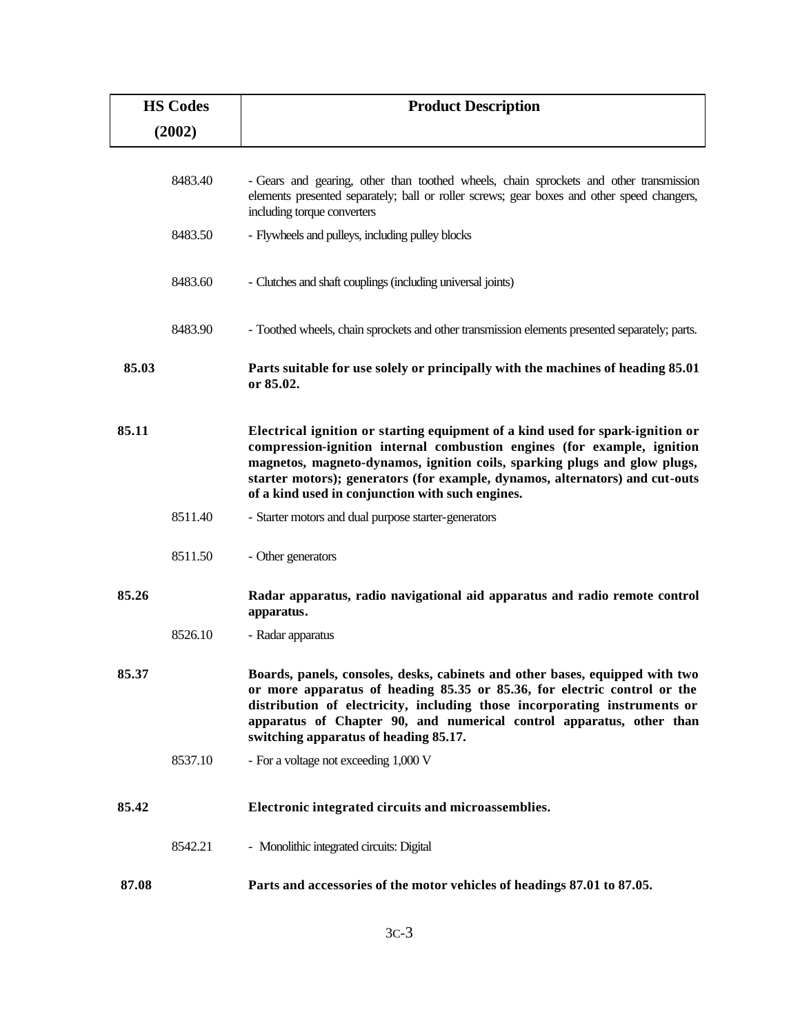| <b>HS Codes</b> | <b>Product Description</b>                                                                                                                                                                                                                                                                                                                                                 |
|-----------------|----------------------------------------------------------------------------------------------------------------------------------------------------------------------------------------------------------------------------------------------------------------------------------------------------------------------------------------------------------------------------|
| (2002)          |                                                                                                                                                                                                                                                                                                                                                                            |
| 8483.40         | - Gears and gearing, other than toothed wheels, chain sprockets and other transmission<br>elements presented separately; ball or roller screws; gear boxes and other speed changers,                                                                                                                                                                                       |
| 8483.50         | including torque converters<br>- Flywheels and pulleys, including pulley blocks                                                                                                                                                                                                                                                                                            |
| 8483.60         | - Clutches and shaft couplings (including universal joints)                                                                                                                                                                                                                                                                                                                |
| 8483.90         | - Toothed wheels, chain sprockets and other transmission elements presented separately; parts.                                                                                                                                                                                                                                                                             |
| 85.03           | Parts suitable for use solely or principally with the machines of heading 85.01<br>or 85.02.                                                                                                                                                                                                                                                                               |
| 85.11           | Electrical ignition or starting equipment of a kind used for spark-ignition or<br>compression-ignition internal combustion engines (for example, ignition<br>magnetos, magneto-dynamos, ignition coils, sparking plugs and glow plugs,<br>starter motors); generators (for example, dynamos, alternators) and cut-outs<br>of a kind used in conjunction with such engines. |
| 8511.40         | - Starter motors and dual purpose starter-generators                                                                                                                                                                                                                                                                                                                       |
| 8511.50         | - Other generators                                                                                                                                                                                                                                                                                                                                                         |
| 85.26           | Radar apparatus, radio navigational aid apparatus and radio remote control<br>apparatus.                                                                                                                                                                                                                                                                                   |
| 8526.10         | - Radar apparatus                                                                                                                                                                                                                                                                                                                                                          |
| 85.37           | Boards, panels, consoles, desks, cabinets and other bases, equipped with two<br>or more apparatus of heading 85.35 or 85.36, for electric control or the<br>distribution of electricity, including those incorporating instruments or<br>apparatus of Chapter 90, and numerical control apparatus, other than<br>switching apparatus of heading 85.17.                     |
| 8537.10         | - For a voltage not exceeding 1,000 V                                                                                                                                                                                                                                                                                                                                      |
| 85.42           | Electronic integrated circuits and microassemblies.                                                                                                                                                                                                                                                                                                                        |
| 8542.21         | - Monolithic integrated circuits: Digital                                                                                                                                                                                                                                                                                                                                  |
| 87.08           | Parts and accessories of the motor vehicles of headings 87.01 to 87.05.                                                                                                                                                                                                                                                                                                    |